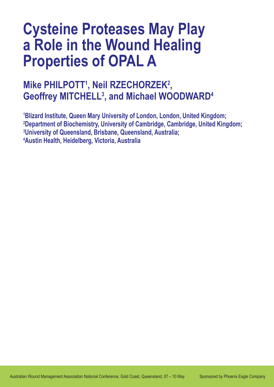# **Cysteine Proteases May Play a Role in the Wound Healing Properties of OPAL A**

## **Mike PHILPOTT<sup>1</sup>, Neil RZECHORZEK<sup>2</sup>, Geoffrey MITCHELL3 , and Michael WOODWARD4**

 **Blizard Institute, Queen Mary University of London, London, United Kingdom; Department of Biochemistry, University of Cambridge, Cambridge, United Kingdom; University of Queensland, Brisbane, Queensland, Australia; Austin Health, Heidelberg, Victoria, Australia**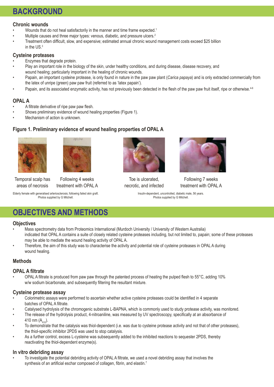### **BACKGROUND**

#### **Chronic wounds**

- Wounds that do not heal satisfactorily in the manner and time frame expected.<sup>1</sup>
- Multiple causes and three major types: venous, diabetic, and pressure ulcers.<sup>2</sup>
- Treatment often difficult, slow, and expensive; estimated annual chronic wound management costs exceed \$25 billion in the US.<sup>3</sup>

#### **Cysteine proteases**

- Enzymes that degrade protein.
- Play an important role in the biology of the skin, under healthy conditions, and during disease, disease recovery, and wound healing; particularly important in the healing of chronic wounds.
- Papain, an important cysteine protease, is only found in nature in the paw paw plant (*Carica papaya*) and is only extracted commercially from the latex of unripe (green) paw paw fruit (referred to as 'latex papain').
- Papain, and its associated enzymatic activity, has not previously been detected in the flesh of the paw paw fruit itself, ripe or otherwise.<sup>4-6</sup>

### **OPAL A**

- A filtrate derivative of ripe paw paw flesh.
- Shows preliminary evidence of wound healing properties (Figure 1).
- Mechanism of action is unknown.

### **Figure 1. Preliminary evidence of wound healing properties of OPAL A**





Temporal scalp has areas of necrosis

Following 4 weeks treatment with OPAL A

Elderly female with generalised arteriosclerosis; following failed skin graft. Photos supplied by G Mitchell.



Toe is ulcerated, necrotic, and infected



Following 7 weeks treatment with OPAL A

Insulin-dependent, uncontrolled, diabetic male, 56 years. Photos supplied by G Mitchell.

### **OBJECTIVES AND METHODS**

#### **Objectives**

- Mass spectrometry data from Proteomics International (Murdoch University / University of Western Australia) indicated that OPAL A contains a suite of closely related cysteine proteases including, but not limited to, papain; some of these proteases may be able to mediate the wound healing activity of OPAL A.
- Therefore, the aim of this study was to characterise the activity and potential role of cysteine proteases in OPAL A during wound healing.

#### **Methods**

#### **OPAL A filtrate**

OPAL A filtrate is produced from paw paw through the patented process of heating the pulped flesh to  $55^{\circ}$ C, adding 10% w/w sodium bicarbonate, and subsequently filtering the resultant mixture.

#### **Cysteine protease assay**

- Colorimetric assays were performed to ascertain whether active cysteine proteases could be identified in 4 separate batches of OPAL A filtrate.
- Catalysed hydrolysis of the chromogenic substrate L-BAPNA, which is commonly used to study protease activity, was monitored.
- The release of the hydrolysis product, 4-nitroaniline, was measured by UV spectroscopy, specifically at an absorbance of 410 nm  $(A_{410})$ .
- To demonstrate that the catalysis was thiol-dependent (i.e. was due to cysteine protease activity and not that of other proteases), the thiol-specific inhibitor 2PDS was used to stop catalysis.
- As a further control, excess L-cysteine was subsequently added to the inhibited reactions to sequester 2PDS, thereby reactivating the thiol-dependent enzyme(s).

#### **In vitro debriding assay**

To investigate the potential debriding activity of OPAL A filtrate, we used a novel debriding assay that involves the synthesis of an artificial eschar composed of collagen, fibrin, and elastin.<sup>7</sup>